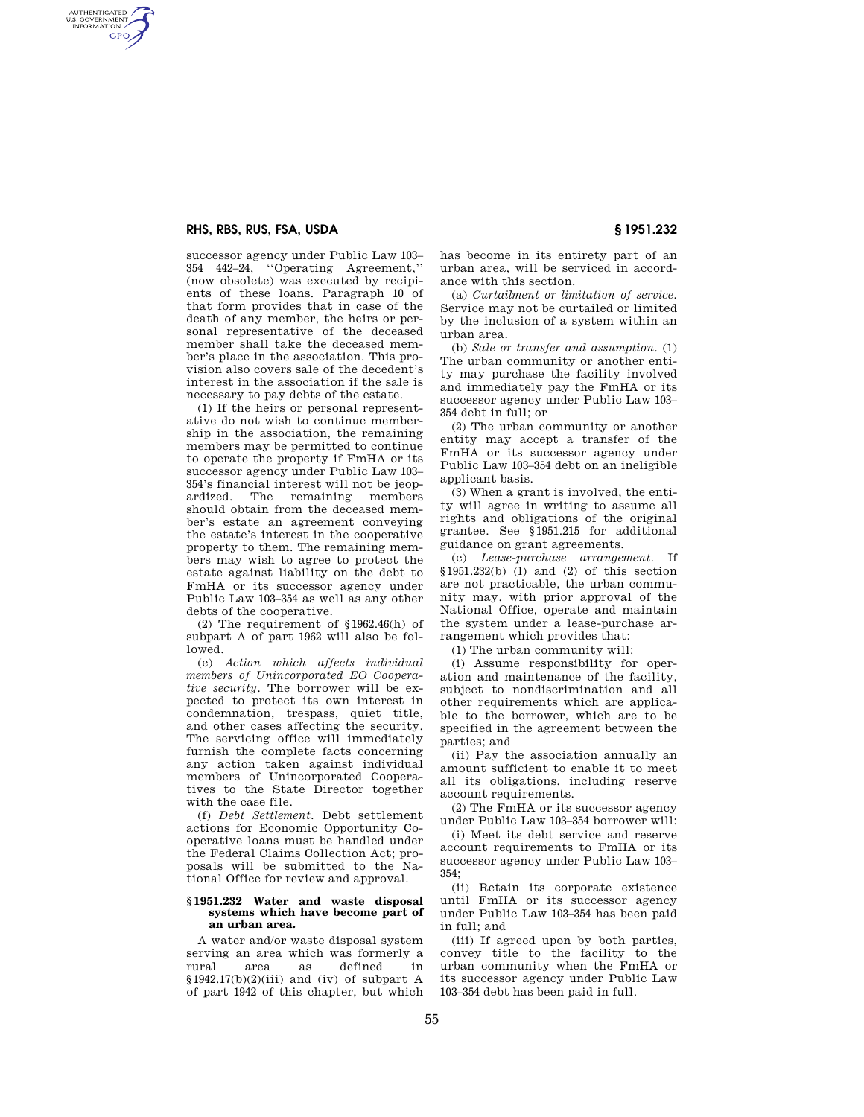## **RHS, RBS, RUS, FSA, USDA § 1951.232**

AUTHENTICATED<br>U.S. GOVERNMENT<br>INFORMATION **GPO** 

> successor agency under Public Law 103– 354 442–24, ''Operating Agreement,'' (now obsolete) was executed by recipients of these loans. Paragraph 10 of that form provides that in case of the death of any member, the heirs or personal representative of the deceased member shall take the deceased member's place in the association. This provision also covers sale of the decedent's interest in the association if the sale is necessary to pay debts of the estate.

> (1) If the heirs or personal representative do not wish to continue membership in the association, the remaining members may be permitted to continue to operate the property if FmHA or its successor agency under Public Law 103– 354's financial interest will not be jeopardized. The remaining members should obtain from the deceased member's estate an agreement conveying the estate's interest in the cooperative property to them. The remaining members may wish to agree to protect the estate against liability on the debt to FmHA or its successor agency under Public Law 103–354 as well as any other debts of the cooperative.

(2) The requirement of §1962.46(h) of subpart A of part 1962 will also be followed.

(e) *Action which affects individual members of Unincorporated EO Cooperative security.* The borrower will be expected to protect its own interest in condemnation, trespass, quiet title, and other cases affecting the security. The servicing office will immediately furnish the complete facts concerning any action taken against individual members of Unincorporated Cooperatives to the State Director together with the case file.

(f) *Debt Settlement.* Debt settlement actions for Economic Opportunity Cooperative loans must be handled under the Federal Claims Collection Act; proposals will be submitted to the National Office for review and approval.

#### **§ 1951.232 Water and waste disposal systems which have become part of an urban area.**

A water and/or waste disposal system serving an area which was formerly a rural area as defined in  $§1942.17(b)(2)(iii)$  and (iv) of subpart A of part 1942 of this chapter, but which

has become in its entirety part of an urban area, will be serviced in accordance with this section.

(a) *Curtailment or limitation of service.*  Service may not be curtailed or limited by the inclusion of a system within an urban area.

(b) *Sale or transfer and assumption.* (1) The urban community or another entity may purchase the facility involved and immediately pay the FmHA or its successor agency under Public Law 103– 354 debt in full; or

(2) The urban community or another entity may accept a transfer of the FmHA or its successor agency under Public Law 103–354 debt on an ineligible applicant basis.

(3) When a grant is involved, the entity will agree in writing to assume all rights and obligations of the original grantee. See §1951.215 for additional guidance on grant agreements.

(c) *Lease-purchase arrangement.* If §1951.232(b) (l) and (2) of this section are not practicable, the urban community may, with prior approval of the National Office, operate and maintain the system under a lease-purchase arrangement which provides that:

(1) The urban community will:

(i) Assume responsibility for operation and maintenance of the facility, subject to nondiscrimination and all other requirements which are applicable to the borrower, which are to be specified in the agreement between the parties; and

(ii) Pay the association annually an amount sufficient to enable it to meet all its obligations, including reserve account requirements.

(2) The FmHA or its successor agency under Public Law 103–354 borrower will:

(i) Meet its debt service and reserve account requirements to FmHA or its successor agency under Public Law 103– 354;

(ii) Retain its corporate existence until FmHA or its successor agency under Public Law 103–354 has been paid in full; and

(iii) If agreed upon by both parties, convey title to the facility to the urban community when the FmHA or its successor agency under Public Law 103–354 debt has been paid in full.